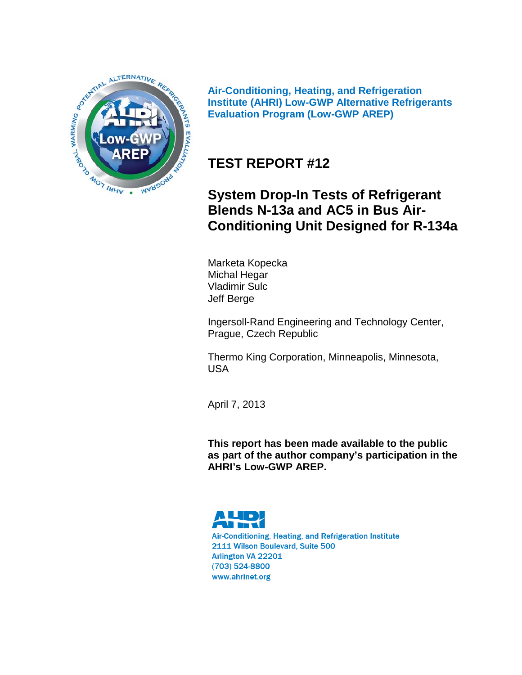

**Air-Conditioning, Heating, and Refrigeration Institute (AHRI) Low-GWP Alternative Refrigerants Evaluation Program (Low-GWP AREP)**

# **TEST REPORT #12**

## **System Drop-In Tests of Refrigerant Blends N-13a and AC5 in Bus Air-Conditioning Unit Designed for R-134a**

Marketa Kopecka Michal Hegar Vladimir Sulc Jeff Berge

Ingersoll-Rand Engineering and Technology Center, Prague, Czech Republic

Thermo King Corporation, Minneapolis, Minnesota, USA

April 7, 2013

**This report has been made available to the public as part of the author company's participation in the AHRI's Low-GWP AREP.**

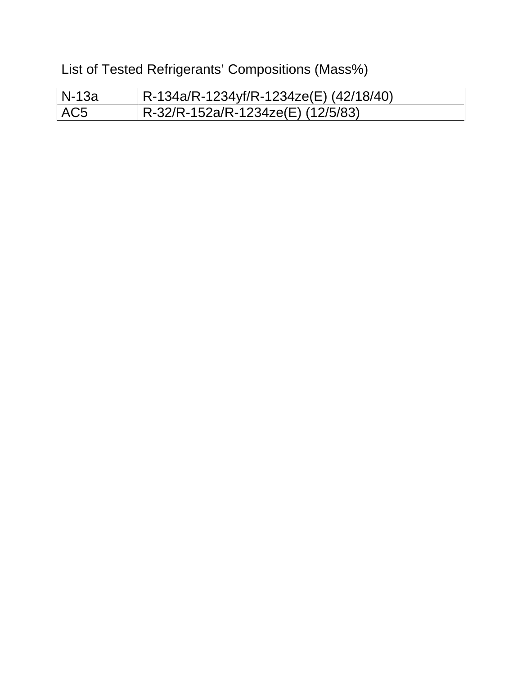List of Tested Refrigerants' Compositions (Mass%)

| N-13a | R-134a/R-1234yf/R-1234ze(E) (42/18/40) |
|-------|----------------------------------------|
| AC5   | $R-32/R-152a/R-1234ze(E)$ (12/5/83)    |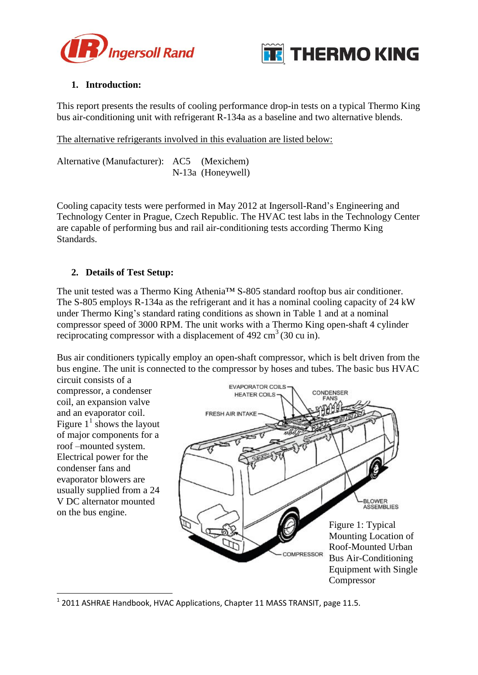



### **1. Introduction:**

This report presents the results of cooling performance drop-in tests on a typical Thermo King bus air-conditioning unit with refrigerant R-134a as a baseline and two alternative blends.

The alternative refrigerants involved in this evaluation are listed below:

Alternative (Manufacturer): AC5 (Mexichem) N-13a (Honeywell)

Cooling capacity tests were performed in May 2012 at Ingersoll-Rand's Engineering and Technology Center in Prague, Czech Republic. The HVAC test labs in the Technology Center are capable of performing bus and rail air-conditioning tests according Thermo King Standards.

#### **2. Details of Test Setup:**

The unit tested was a Thermo King Athenia™ S-805 standard rooftop bus air conditioner. The S-805 employs R-134a as the refrigerant and it has a nominal cooling capacity of 24 kW under Thermo King's standard rating conditions as shown in Table 1 and at a nominal compressor speed of 3000 RPM. The unit works with a Thermo King open-shaft 4 cylinder reciprocating compressor with a displacement of  $492 \text{ cm}^3(30 \text{ cu in}).$ 

Bus air conditioners typically employ an open-shaft compressor, which is belt driven from the bus engine. The unit is connected to the compressor by hoses and tubes. The basic bus HVAC circuit consists of a

compressor, a condenser coil, an expansion valve and an evaporator coil. Figure  $1^1$  shows the layout of major components for a roof –mounted system. Electrical power for the condenser fans and evaporator blowers are usually supplied from a 24 V DC alternator mounted on the bus engine.

**.** 



 $1$  2011 ASHRAE Handbook, HVAC Applications, Chapter 11 MASS TRANSIT, page 11.5.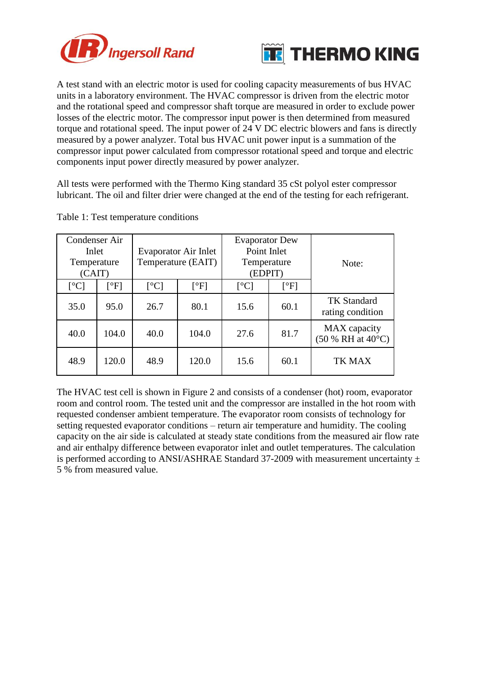![](_page_3_Picture_0.jpeg)

![](_page_3_Picture_1.jpeg)

A test stand with an electric motor is used for cooling capacity measurements of bus HVAC units in a laboratory environment. The HVAC compressor is driven from the electric motor and the rotational speed and compressor shaft torque are measured in order to exclude power losses of the electric motor. The compressor input power is then determined from measured torque and rotational speed. The input power of 24 V DC electric blowers and fans is directly measured by a power analyzer. Total bus HVAC unit power input is a summation of the compressor input power calculated from compressor rotational speed and torque and electric components input power directly measured by power analyzer.

All tests were performed with the Thermo King standard 35 cSt polyol ester compressor lubricant. The oil and filter drier were changed at the end of the testing for each refrigerant.

| Condenser Air<br>Inlet<br>Temperature<br>(CAIT) |                   |                          | Evaporator Air Inlet<br>Temperature (EAIT) | <b>Evaporator Dew</b><br>Point Inlet<br>Temperature<br>(EDPIT) |                                     | Note:                                  |  |  |
|-------------------------------------------------|-------------------|--------------------------|--------------------------------------------|----------------------------------------------------------------|-------------------------------------|----------------------------------------|--|--|
| [°C]                                            | $\mathsf{[^o F]}$ | $\lceil$ <sup>o</sup> Cl | [°F]                                       | $\lceil$ <sup>o</sup> Cl                                       | $\lceil \, \circ \mathrm{F} \rceil$ |                                        |  |  |
| 35.0                                            | 95.0              | 26.7                     | 80.1                                       | 15.6                                                           | 60.1                                | <b>TK Standard</b><br>rating condition |  |  |
| 40.0                                            | 104.0             | 40.0                     | 104.0                                      | 27.6                                                           | 81.7                                | MAX capacity<br>(50 % RH at 40°C)      |  |  |
| 48.9                                            | 120.0             | 48.9                     | 120.0                                      | 15.6                                                           | 60.1                                | TK MAX                                 |  |  |

Table 1: Test temperature conditions

The HVAC test cell is shown in Figure 2 and consists of a condenser (hot) room, evaporator room and control room. The tested unit and the compressor are installed in the hot room with requested condenser ambient temperature. The evaporator room consists of technology for setting requested evaporator conditions – return air temperature and humidity. The cooling capacity on the air side is calculated at steady state conditions from the measured air flow rate and air enthalpy difference between evaporator inlet and outlet temperatures. The calculation is performed according to ANSI/ASHRAE Standard 37-2009 with measurement uncertainty ± 5 % from measured value.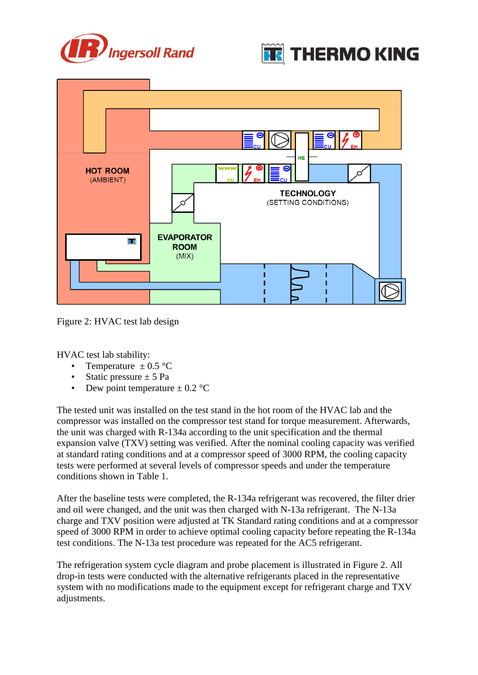![](_page_4_Picture_0.jpeg)

![](_page_4_Picture_1.jpeg)

![](_page_4_Figure_2.jpeg)

Figure 2: HVAC test lab design

HVAC test lab stability:

- Temperature  $\pm 0.5$  °C
- Static pressure  $\pm$  5 Pa
- Dew point temperature  $\pm$  0.2 °C

The tested unit was installed on the test stand in the hot room of the HVAC lab and the compressor was installed on the compressor test stand for torque measurement. Afterwards, the unit was charged with R-134a according to the unit specification and the thermal expansion valve (TXV) setting was verified. After the nominal cooling capacity was verified at standard rating conditions and at a compressor speed of 3000 RPM, the cooling capacity tests were performed at several levels of compressor speeds and under the temperature conditions shown in Table 1.

After the baseline tests were completed, the R-134a refrigerant was recovered, the filter drier and oil were changed, and the unit was then charged with N-13a refrigerant. The N-13a charge and TXV position were adjusted at TK Standard rating conditions and at a compressor speed of 3000 RPM in order to achieve optimal cooling capacity before repeating the R-134a test conditions. The N-13a test procedure was repeated for the AC5 refrigerant.

The refrigeration system cycle diagram and probe placement is illustrated in Figure 2. All drop-in tests were conducted with the alternative refrigerants placed in the representative system with no modifications made to the equipment except for refrigerant charge and TXV adjustments.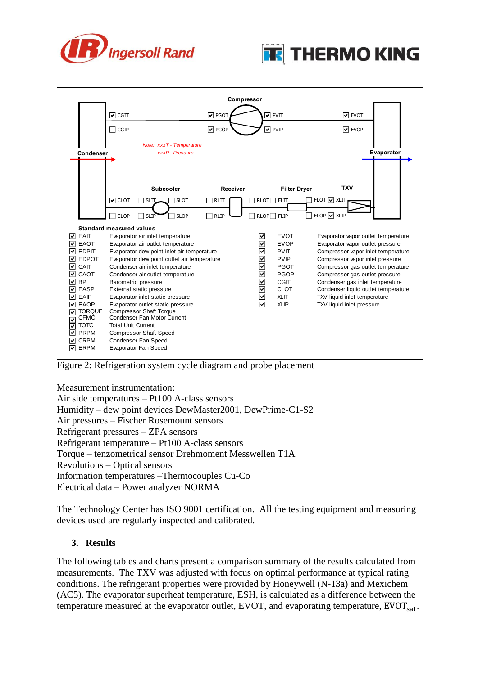![](_page_5_Picture_0.jpeg)

![](_page_5_Picture_1.jpeg)

![](_page_5_Figure_2.jpeg)

Figure 2: Refrigeration system cycle diagram and probe placement

Measurement instrumentation :

Air side temperatures – Pt100 A-class sensors Humidity – dew point devices DewMaster2001, DewPrime-C1-S2 Air pressures – Fischer Rosemount sensors Refrigerant pressures – ZPA sensors Refrigerant temperature – Pt100 A-class sensors Torque – tenzometrical sensor Drehmoment Messwellen T1A Revolutions – Optical sensors Information temperatures –Thermocouples Cu-Co Electrical data – Power analyzer NORMA

The Technology Center has ISO 9001 certification. All the testing equipment and measuring devices used are regularly inspected and calibrated.

#### **3. Results**

The following tables and charts present a comparison summary of the results calculated from measurements. The TXV was adjusted with focus on optimal performance at typical rating conditions. The refrigerant properties were provided by Honeywell (N-13a) and Mexichem (AC5). The evaporator superheat temperature, ESH, is calculated as a difference between the temperature measured at the evaporator outlet, EVOT, and evaporating temperature,  $EVOT_{sat}$ .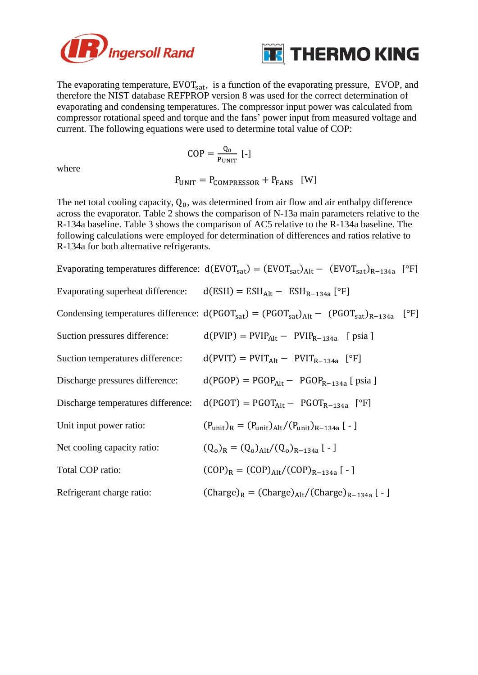![](_page_6_Picture_0.jpeg)

![](_page_6_Picture_1.jpeg)

The evaporating temperature,  $EVOT<sub>sat</sub>$ , is a function of the evaporating pressure,  $EVOP$ , and therefore the NIST database REFPROP version 8 was used for the correct determination of evaporating and condensing temperatures. The compressor input power was calculated from compressor rotational speed and torque and the fans' power input from measured voltage and current. The following equations were used to determine total value of COP:

$$
COP = \frac{Q_0}{P_{UNIT}} \ [ - ]
$$

where

 $P_{UNIT} = P_{COMPRESSOR} + P_{FANS}$  [W]

The net total cooling capacity,  $Q_0$ , was determined from air flow and air enthalpy difference across the evaporator. Table 2 shows the comparison of N-13a main parameters relative to the R-134a baseline. Table 3 shows the comparison of AC5 relative to the R-134a baseline. The following calculations were employed for determination of differences and ratios relative to R-134a for both alternative refrigerants.

|                                    | Evaporating temperatures difference: $d(EVOT_{sat}) = (EVOT_{sat})_{Alt} - (EVOT_{sat})_{R-134a}$ [°F] |                     |
|------------------------------------|--------------------------------------------------------------------------------------------------------|---------------------|
|                                    | Evaporating superheat difference: $d(ESH) = ESHAlt - ESHR-134a [°F]$                                   |                     |
|                                    | Condensing temperatures difference: $d(PGOT_{sat}) = (PGOT_{sat})_{Alt} - (PGOT_{sat})_{R-134a}$       | $[$ <sup>o</sup> F] |
| Suction pressures difference:      | $d(PVIP) = PVIPAlt - PVIPR-134a$ [psia]                                                                |                     |
| Suction temperatures difference:   | $d(PVIT) = PVIT_{Alt} - PVIT_{R-134a}$ [°F]                                                            |                     |
| Discharge pressures difference:    | $d(PGOP) = PGOPAlt - PGOPR-134a$ [ psia ]                                                              |                     |
| Discharge temperatures difference: | $d(PGOT) = PGOTAlt - PGOTR-134a [°F]$                                                                  |                     |
| Unit input power ratio:            | $(P_{\text{unit}})_R = (P_{\text{unit}})_{A1t}/(P_{\text{unit}})_{R-134a}$ [-]                         |                     |
| Net cooling capacity ratio:        | $(Q_0)_R = (Q_0)_{Alt}/(Q_0)_{R-134a}$ [-]                                                             |                     |
| Total COP ratio:                   | $(COP)_{R} = (COP)_{Alt}/(COP)_{R-134a}$ [-]                                                           |                     |
| Refrigerant charge ratio:          | $(Change)_R = (Change)_{Alt}/(Change)_{R-134a}$ [-]                                                    |                     |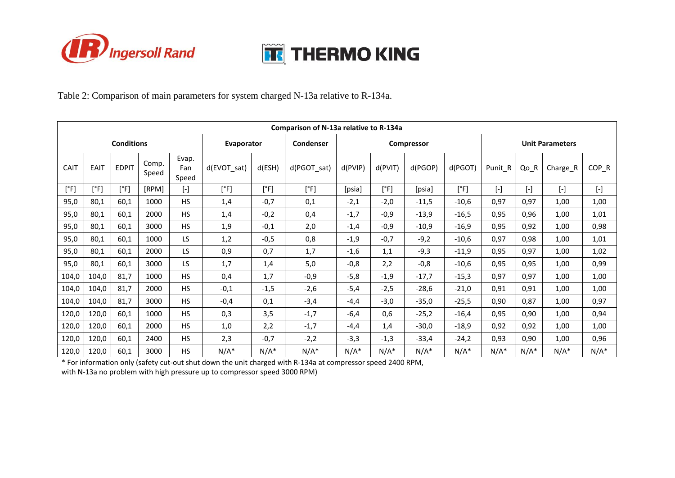![](_page_7_Picture_0.jpeg)

![](_page_7_Picture_1.jpeg)

Table 2: Comparison of main parameters for system charged N-13a relative to R-134a.

| Comparison of N-13a relative to R-134a |               |               |                |                       |             |         |             |            |         |         |         |                        |         |           |         |
|----------------------------------------|---------------|---------------|----------------|-----------------------|-------------|---------|-------------|------------|---------|---------|---------|------------------------|---------|-----------|---------|
| <b>Conditions</b>                      |               |               |                |                       | Evaporator  |         | Condenser   | Compressor |         |         |         | <b>Unit Parameters</b> |         |           |         |
| CAIT                                   | EAIT          | <b>EDPIT</b>  | Comp.<br>Speed | Evap.<br>Fan<br>Speed | d(EVOT sat) | d(ESH)  | d(PGOT_sat) | d(PVIP)    | d(PVIT) | d(PGOP) | d(PGOT) | Punit R                | Qo_R    | Charge_R  | COP R   |
| $[^{\circ}F]$                          | $[^{\circ}F]$ | $[^{\circ}F]$ | [RPM]          | [-]                   | [°F]        | [°F]    | [°F]        | [psia]     | [°F]    | [psia]  | [°F]    | [-]                    | [-]     | $[\cdot]$ | $[$     |
| 95,0                                   | 80,1          | 60,1          | 1000           | <b>HS</b>             | 1,4         | $-0,7$  | 0,1         | $-2,1$     | $-2,0$  | $-11,5$ | $-10,6$ | 0,97                   | 0,97    | 1,00      | 1,00    |
| 95,0                                   | 80,1          | 60,1          | 2000           | <b>HS</b>             | 1,4         | $-0,2$  | 0,4         | $-1,7$     | $-0,9$  | $-13,9$ | $-16,5$ | 0,95                   | 0,96    | 1,00      | 1,01    |
| 95,0                                   | 80,1          | 60,1          | 3000           | <b>HS</b>             | 1,9         | $-0,1$  | 2,0         | $-1,4$     | $-0,9$  | $-10,9$ | $-16,9$ | 0,95                   | 0,92    | 1,00      | 0,98    |
| 95,0                                   | 80,1          | 60,1          | 1000           | LS                    | 1,2         | $-0,5$  | 0,8         | $-1,9$     | $-0,7$  | $-9,2$  | $-10,6$ | 0,97                   | 0,98    | 1,00      | 1,01    |
| 95,0                                   | 80,1          | 60,1          | 2000           | LS                    | 0,9         | 0,7     | 1,7         | $-1,6$     | 1,1     | $-9,3$  | $-11,9$ | 0,95                   | 0,97    | 1,00      | 1,02    |
| 95,0                                   | 80,1          | 60,1          | 3000           | LS                    | 1,7         | 1,4     | 5,0         | $-0,8$     | 2,2     | $-0,8$  | $-10,6$ | 0,95                   | 0,95    | 1,00      | 0,99    |
| 104,0                                  | 104,0         | 81,7          | 1000           | <b>HS</b>             | 0,4         | 1,7     | $-0,9$      | $-5,8$     | $-1,9$  | $-17,7$ | $-15,3$ | 0,97                   | 0,97    | 1,00      | 1,00    |
| 104,0                                  | 104,0         | 81,7          | 2000           | <b>HS</b>             | $-0,1$      | $-1,5$  | $-2,6$      | $-5,4$     | $-2,5$  | $-28,6$ | $-21,0$ | 0,91                   | 0,91    | 1,00      | 1,00    |
| 104,0                                  | 104,0         | 81,7          | 3000           | <b>HS</b>             | $-0,4$      | 0,1     | $-3,4$      | -4,4       | $-3,0$  | $-35,0$ | $-25,5$ | 0,90                   | 0,87    | 1,00      | 0,97    |
| 120,0                                  | 120,0         | 60,1          | 1000           | <b>HS</b>             | 0,3         | 3,5     | $-1,7$      | $-6,4$     | 0,6     | $-25,2$ | $-16,4$ | 0,95                   | 0,90    | 1,00      | 0,94    |
| 120,0                                  | 120,0         | 60,1          | 2000           | <b>HS</b>             | 1,0         | 2,2     | $-1,7$      | $-4,4$     | 1,4     | $-30,0$ | $-18,9$ | 0,92                   | 0,92    | 1,00      | 1,00    |
| 120,0                                  | 120,0         | 60,1          | 2400           | HS                    | 2,3         | $-0,7$  | $-2,2$      | $-3,3$     | $-1,3$  | $-33,4$ | $-24,2$ | 0,93                   | 0,90    | 1,00      | 0,96    |
| 120,0                                  | 120,0         | 60,1          | 3000           | <b>HS</b>             | $N/A^*$     | $N/A^*$ | $N/A^*$     | $N/A^*$    | $N/A^*$ | $N/A^*$ | $N/A^*$ | $N/A^*$                | $N/A^*$ | $N/A^*$   | $N/A^*$ |

\* For information only (safety cut-out shut down the unit charged with R-134a at compressor speed 2400 RPM,

with N-13a no problem with high pressure up to compressor speed 3000 RPM)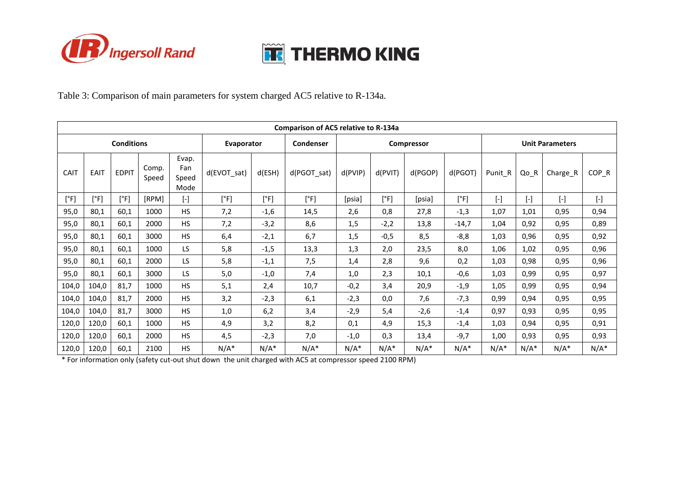![](_page_8_Picture_0.jpeg)

![](_page_8_Picture_1.jpeg)

Table 3: Comparison of main parameters for system charged AC5 relative to R-134a.

| <b>Comparison of AC5 relative to R-134a</b> |             |               |                |                               |             |           |             |         |            |         |                        |                     |           |          |           |
|---------------------------------------------|-------------|---------------|----------------|-------------------------------|-------------|-----------|-------------|---------|------------|---------|------------------------|---------------------|-----------|----------|-----------|
| <b>Conditions</b>                           |             |               |                | Evaporator                    |             | Condenser |             |         | Compressor |         | <b>Unit Parameters</b> |                     |           |          |           |
| <b>CAIT</b>                                 | <b>EAIT</b> | <b>EDPIT</b>  | Comp.<br>Speed | Evap.<br>Fan<br>Speed<br>Mode | d(EVOT_sat) | d(ESH)    | d(PGOT_sat) | d(PVIP) | d(PVIT)    | d(PGOP) | d(PGOT)                | Punit_R             | Qo_R      | Charge_R | COP R     |
| [°F]                                        | [°F]        | $[^{\circ}F]$ | [RPM]          | $\overline{[}$                | [°F]        | [°F]      | [°F]        | [psia]  | [°F]       | [psia]  | [°F]                   | $\lbrack - \rbrack$ | $[\cdot]$ | $[ - ]$  | $[\cdot]$ |
| 95,0                                        | 80,1        | 60,1          | 1000           | <b>HS</b>                     | 7,2         | $-1,6$    | 14,5        | 2,6     | 0,8        | 27,8    | $-1,3$                 | 1,07                | 1,01      | 0,95     | 0,94      |
| 95,0                                        | 80,1        | 60,1          | 2000           | <b>HS</b>                     | 7,2         | $-3,2$    | 8,6         | 1,5     | $-2,2$     | 13,8    | $-14,7$                | 1,04                | 0,92      | 0,95     | 0,89      |
| 95,0                                        | 80,1        | 60,1          | 3000           | <b>HS</b>                     | 6,4         | $-2,1$    | 6,7         | 1,5     | $-0,5$     | 8,5     | $-8,8$                 | 1,03                | 0,96      | 0,95     | 0,92      |
| 95,0                                        | 80,1        | 60,1          | 1000           | <b>LS</b>                     | 5,8         | $-1,5$    | 13,3        | 1,3     | 2,0        | 23,5    | 8,0                    | 1,06                | 1,02      | 0,95     | 0,96      |
| 95,0                                        | 80,1        | 60,1          | 2000           | LS                            | 5,8         | $-1,1$    | 7,5         | 1,4     | 2,8        | 9,6     | 0,2                    | 1,03                | 0,98      | 0,95     | 0,96      |
| 95,0                                        | 80,1        | 60,1          | 3000           | LS                            | 5,0         | $-1,0$    | 7,4         | 1,0     | 2,3        | 10,1    | $-0,6$                 | 1,03                | 0,99      | 0,95     | 0,97      |
| 104,0                                       | 104,0       | 81,7          | 1000           | <b>HS</b>                     | 5,1         | 2,4       | 10,7        | $-0,2$  | 3,4        | 20,9    | $-1,9$                 | 1,05                | 0,99      | 0,95     | 0,94      |
| 104,0                                       | 104,0       | 81,7          | 2000           | HS.                           | 3,2         | $-2,3$    | 6,1         | $-2,3$  | 0,0        | 7,6     | $-7,3$                 | 0,99                | 0,94      | 0,95     | 0,95      |
| 104,0                                       | 104,0       | 81,7          | 3000           | <b>HS</b>                     | 1,0         | 6,2       | 3,4         | $-2,9$  | 5,4        | $-2,6$  | $-1,4$                 | 0,97                | 0,93      | 0,95     | 0,95      |
| 120,0                                       | 120,0       | 60,1          | 1000           | <b>HS</b>                     | 4,9         | 3,2       | 8,2         | 0,1     | 4,9        | 15,3    | $-1,4$                 | 1,03                | 0,94      | 0,95     | 0,91      |
| 120,0                                       | 120,0       | 60,1          | 2000           | <b>HS</b>                     | 4,5         | $-2,3$    | 7,0         | $-1,0$  | 0,3        | 13,4    | $-9,7$                 | 1,00                | 0,93      | 0,95     | 0,93      |
| 120,0                                       | 120,0       | 60,1          | 2100           | <b>HS</b>                     | $N/A^*$     | $N/A^*$   | $N/A^*$     | $N/A^*$ | $N/A^*$    | $N/A^*$ | $N/A^*$                | $N/A^*$             | $N/A^*$   | $N/A^*$  | $N/A^*$   |

\* For information only (safety cut-out shut down the unit charged with AC5 at compressor speed 2100 RPM)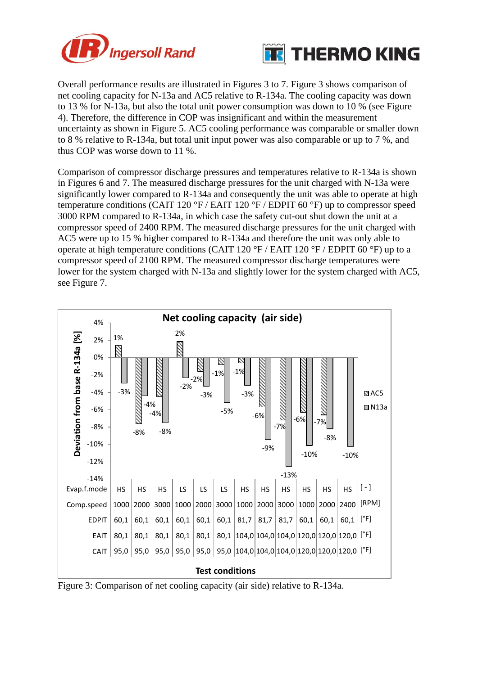![](_page_9_Picture_0.jpeg)

![](_page_9_Picture_1.jpeg)

Overall performance results are illustrated in Figures 3 to 7. Figure 3 shows comparison of net cooling capacity for N-13a and AC5 relative to R-134a. The cooling capacity was down to 13 % for N-13a, but also the total unit power consumption was down to 10 % (see Figure 4). Therefore, the difference in COP was insignificant and within the measurement uncertainty as shown in Figure 5. AC5 cooling performance was comparable or smaller down to 8 % relative to R-134a, but total unit input power was also comparable or up to 7 %, and thus COP was worse down to 11 %.

Comparison of compressor discharge pressures and temperatures relative to R-134a is shown in Figures 6 and 7. The measured discharge pressures for the unit charged with N-13a were significantly lower compared to R-134a and consequently the unit was able to operate at high temperature conditions (CAIT 120  $\degree$ F / EAIT 120  $\degree$ F / EDPIT 60  $\degree$ F) up to compressor speed 3000 RPM compared to R-134a, in which case the safety cut-out shut down the unit at a compressor speed of 2400 RPM. The measured discharge pressures for the unit charged with AC5 were up to 15 % higher compared to R-134a and therefore the unit was only able to operate at high temperature conditions (CAIT 120 °F / EAIT 120 °F / EDPIT 60 °F) up to a compressor speed of 2100 RPM. The measured compressor discharge temperatures were lower for the system charged with N-13a and slightly lower for the system charged with AC5, see Figure 7.

![](_page_9_Figure_4.jpeg)

Figure 3: Comparison of net cooling capacity (air side) relative to R-134a.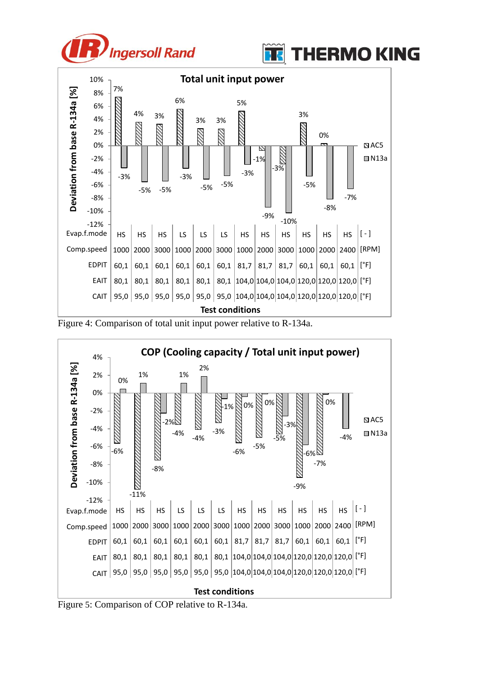![](_page_10_Picture_0.jpeg)

![](_page_10_Picture_1.jpeg)

![](_page_10_Figure_2.jpeg)

![](_page_10_Figure_3.jpeg)

![](_page_10_Figure_4.jpeg)

Figure 5: Comparison of COP relative to R-134a.